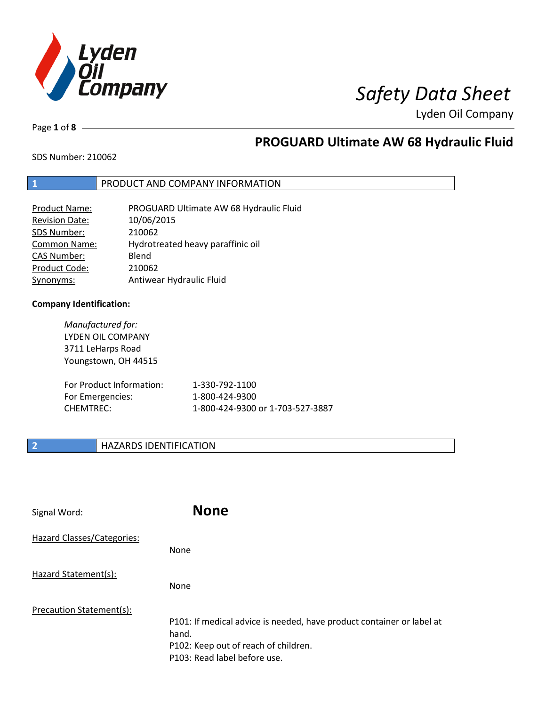

Page **1** of **8**

# **PROGUARD Ultimate AW 68 Hydraulic Fluid**

SDS Number: 210062

## **1** PRODUCT AND COMPANY INFORMATION

| <b>Product Name:</b>  | PROGUARD Ultimate AW 68 Hydraulic Fluid |
|-----------------------|-----------------------------------------|
| <b>Revision Date:</b> | 10/06/2015                              |
| SDS Number:           | 210062                                  |
| <b>Common Name:</b>   | Hydrotreated heavy paraffinic oil       |
| <b>CAS Number:</b>    | Blend                                   |
| Product Code:         | 210062                                  |
| Synonyms:             | Antiwear Hydraulic Fluid                |

### **Company Identification:**

*Manufactured for:* LYDEN OIL COMPANY 3711 LeHarps Road Youngstown, OH 44515

| For Product Information: | 1-330-792-1100                   |
|--------------------------|----------------------------------|
| For Emergencies:         | 1-800-424-9300                   |
| CHEMTREC:                | 1-800-424-9300 or 1-703-527-3887 |

## **2 HAZARDS IDENTIFICATION**

| Signal Word:               | <b>None</b>                                                                                                                                            |
|----------------------------|--------------------------------------------------------------------------------------------------------------------------------------------------------|
| Hazard Classes/Categories: | None                                                                                                                                                   |
| Hazard Statement(s):       | <b>None</b>                                                                                                                                            |
| Precaution Statement(s):   | P101: If medical advice is needed, have product container or label at<br>hand.<br>P102: Keep out of reach of children.<br>P103: Read label before use. |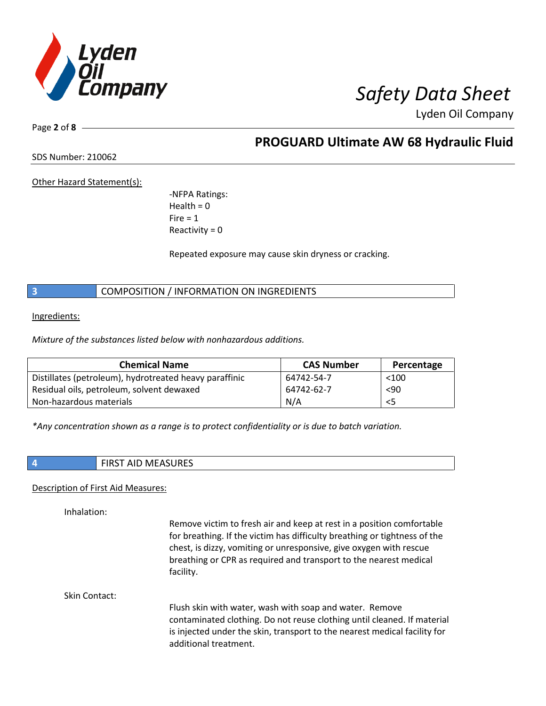

Page **2** of **8**

# **PROGUARD Ultimate AW 68 Hydraulic Fluid**

SDS Number: 210062

Other Hazard Statement(s):

-NFPA Ratings:  $Health = 0$  $Fire = 1$ Reactivity  $= 0$ 

Repeated exposure may cause skin dryness or cracking.

**3** COMPOSITION / INFORMATION ON INGREDIENTS

Ingredients:

*Mixture of the substances listed below with nonhazardous additions.*

| <b>Chemical Name</b>                                   | <b>CAS Number</b> | Percentage |
|--------------------------------------------------------|-------------------|------------|
| Distillates (petroleum), hydrotreated heavy paraffinic | 64742-54-7        | $<$ 100    |
| Residual oils, petroleum, solvent dewaxed              | 64742-62-7        | < 90       |
| Non-hazardous materials                                | N/A               | <5         |

*\*Any concentration shown as a range is to protect confidentiality or is due to batch variation.*

| ۰. |  |
|----|--|
|    |  |
|    |  |
|    |  |
|    |  |

**4** FIRST AID MEASURES

### Description of First Aid Measures:

Inhalation:

Remove victim to fresh air and keep at rest in a position comfortable for breathing. If the victim has difficulty breathing or tightness of the chest, is dizzy, vomiting or unresponsive, give oxygen with rescue breathing or CPR as required and transport to the nearest medical facility.

Skin Contact:

Flush skin with water, wash with soap and water. Remove contaminated clothing. Do not reuse clothing until cleaned. If material is injected under the skin, transport to the nearest medical facility for additional treatment.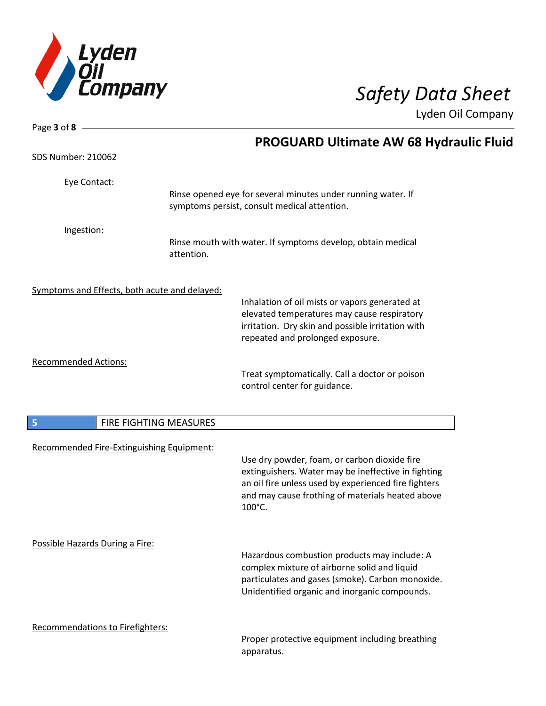

| Page 3 of 8 $-$                               |                        |                                                                                                                                                                                                                           |
|-----------------------------------------------|------------------------|---------------------------------------------------------------------------------------------------------------------------------------------------------------------------------------------------------------------------|
|                                               |                        | <b>PROGUARD Ultimate AW 68 Hydraulic Fluid</b>                                                                                                                                                                            |
| <b>SDS Number: 210062</b>                     |                        |                                                                                                                                                                                                                           |
| Eye Contact:                                  |                        | Rinse opened eye for several minutes under running water. If                                                                                                                                                              |
|                                               |                        | symptoms persist, consult medical attention.                                                                                                                                                                              |
| Ingestion:                                    |                        |                                                                                                                                                                                                                           |
|                                               | attention.             | Rinse mouth with water. If symptoms develop, obtain medical                                                                                                                                                               |
| Symptoms and Effects, both acute and delayed: |                        |                                                                                                                                                                                                                           |
|                                               |                        | Inhalation of oil mists or vapors generated at<br>elevated temperatures may cause respiratory                                                                                                                             |
|                                               |                        | irritation. Dry skin and possible irritation with                                                                                                                                                                         |
|                                               |                        | repeated and prolonged exposure.                                                                                                                                                                                          |
| <b>Recommended Actions:</b>                   |                        |                                                                                                                                                                                                                           |
|                                               |                        | Treat symptomatically. Call a doctor or poison<br>control center for guidance.                                                                                                                                            |
| 5                                             | FIRE FIGHTING MEASURES |                                                                                                                                                                                                                           |
| Recommended Fire-Extinguishing Equipment:     |                        |                                                                                                                                                                                                                           |
|                                               |                        | Use dry powder, foam, or carbon dioxide fire<br>extinguishers. Water may be ineffective in fighting<br>an oil fire unless used by experienced fire fighters<br>and may cause frothing of materials heated above<br>100°C. |
| Possible Hazards During a Fire:               |                        | Hazardous combustion products may include: A<br>complex mixture of airborne solid and liquid<br>particulates and gases (smoke). Carbon monoxide.<br>Unidentified organic and inorganic compounds.                         |

Recommendations to Firefighters:

Proper protective equipment including breathing apparatus.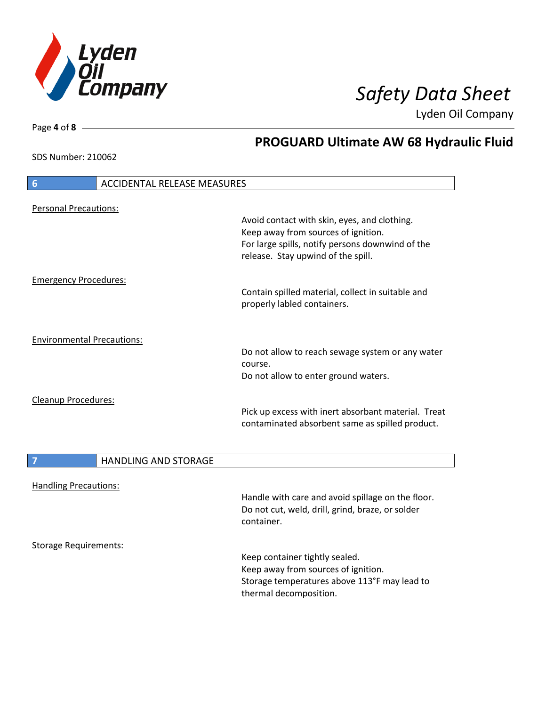

**PROGUARD Ultimate AW 68 Hydraulic Fluid**

Lyden Oil Company

SDS Number: 210062

# **6** ACCIDENTAL RELEASE MEASURES Personal Precautions: Avoid contact with skin, eyes, and clothing. Keep away from sources of ignition. For large spills, notify persons downwind of the release. Stay upwind of the spill. Emergency Procedures: Contain spilled material, collect in suitable and properly labled containers. Environmental Precautions: Do not allow to reach sewage system or any water course. Do not allow to enter ground waters. Cleanup Procedures: Pick up excess with inert absorbant material. Treat contaminated absorbent same as spilled product. **7 HANDLING AND STORAGE** Handling Precautions: Handle with care and avoid spillage on the floor. Do not cut, weld, drill, grind, braze, or solder container. Storage Requirements: Keep container tightly sealed. Keep away from sources of ignition. Storage temperatures above 113°F may lead to thermal decomposition.

Page **4** of **8**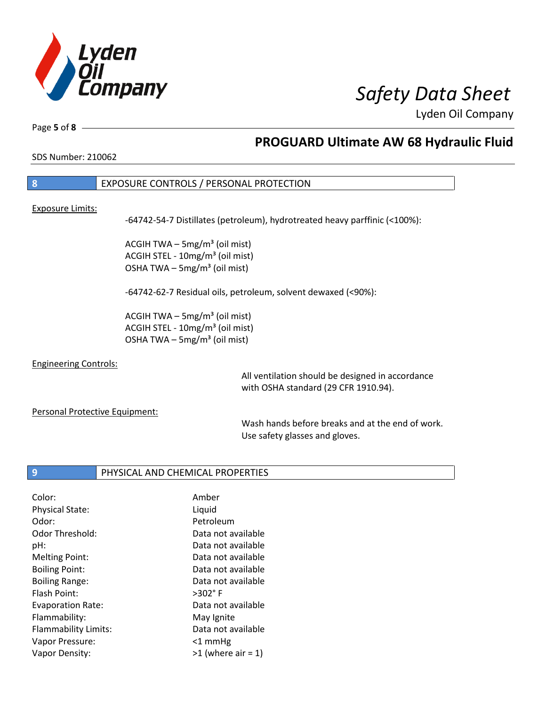

Page **5** of **8**

# **PROGUARD Ultimate AW 68 Hydraulic Fluid**

SDS Number: 210062

## **8** EXPOSURE CONTROLS / PERSONAL PROTECTION

### Exposure Limits:

-64742-54-7 Distillates (petroleum), hydrotreated heavy parffinic (<100%):

ACGIH TWA  $-$  5mg/m<sup>3</sup> (oil mist) ACGIH STEL - 10mg/m<sup>3</sup> (oil mist) OSHA TWA  $-$  5mg/m<sup>3</sup> (oil mist)

-64742-62-7 Residual oils, petroleum, solvent dewaxed (<90%):

ACGIH TWA  $-$  5mg/m<sup>3</sup> (oil mist) ACGIH STEL - 10mg/m<sup>3</sup> (oil mist) OSHA TWA – 5mg/m $3$  (oil mist)

### Engineering Controls:

All ventilation should be designed in accordance with OSHA standard (29 CFR 1910.94).

### Personal Protective Equipment:

Wash hands before breaks and at the end of work. Use safety glasses and gloves.

### **9** PHYSICAL AND CHEMICAL PROPERTIES

| Amber                |
|----------------------|
| Liquid               |
| Petroleum            |
| Data not available   |
| Data not available   |
| Data not available   |
| Data not available   |
| Data not available   |
| $>302^\circ$ F       |
| Data not available   |
| May Ignite           |
| Data not available   |
| $<$ 1 mmHg           |
| $>1$ (where air = 1) |
|                      |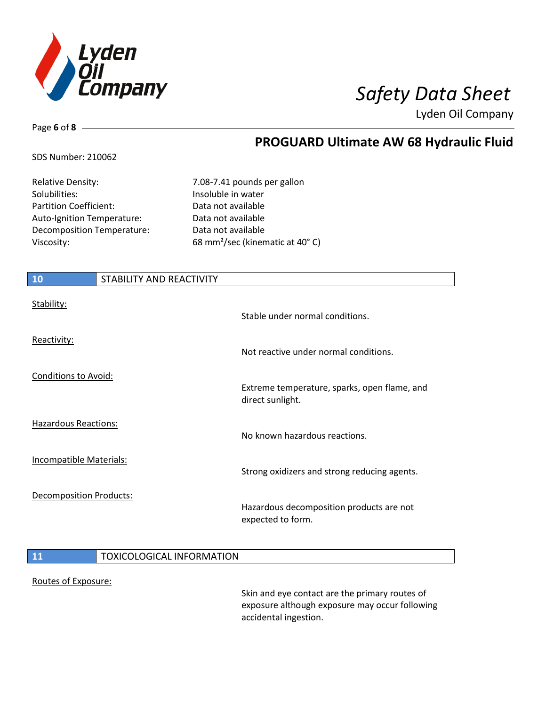

Page **6** of **8**

# **PROGUARD Ultimate AW 68 Hydraulic Fluid**

### SDS Number: 210062

Solubilities: Insoluble in water Partition Coefficient: Data not available Auto-Ignition Temperature: Data not available Decomposition Temperature: Data not available

Relative Density: 7.08-7.41 pounds per gallon Viscosity: 68 mm²/sec (kinematic at 40° C)

| 10                             | STABILITY AND REACTIVITY |                                                                  |
|--------------------------------|--------------------------|------------------------------------------------------------------|
| Stability:                     |                          | Stable under normal conditions.                                  |
| Reactivity:                    |                          | Not reactive under normal conditions.                            |
| Conditions to Avoid:           |                          | Extreme temperature, sparks, open flame, and<br>direct sunlight. |
| <b>Hazardous Reactions:</b>    |                          | No known hazardous reactions.                                    |
| <b>Incompatible Materials:</b> |                          | Strong oxidizers and strong reducing agents.                     |
| <b>Decomposition Products:</b> |                          | Hazardous decomposition products are not<br>expected to form.    |

### **11** TOXICOLOGICAL INFORMATION

### Routes of Exposure:

Skin and eye contact are the primary routes of exposure although exposure may occur following accidental ingestion.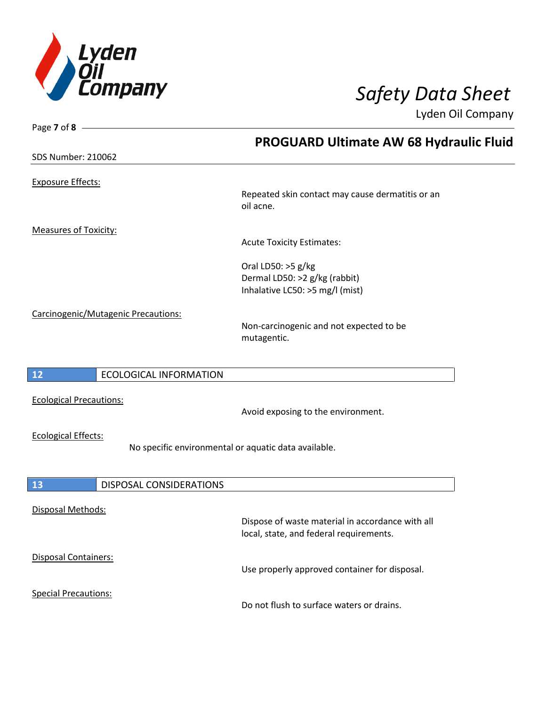

Page **7** of **8**

Lyden Oil Company

| <b>SDS Number: 210062</b><br><b>Exposure Effects:</b><br>Repeated skin contact may cause dermatitis or an<br>oil acne.<br><b>Measures of Toxicity:</b><br><b>Acute Toxicity Estimates:</b><br>Oral LD50: >5 g/kg<br>Dermal LD50: >2 g/kg (rabbit)<br>Inhalative LC50: >5 mg/l (mist)<br>Carcinogenic/Mutagenic Precautions:<br>Non-carcinogenic and not expected to be<br>mutagentic.<br>12<br><b>ECOLOGICAL INFORMATION</b><br><b>Ecological Precautions:</b><br>Avoid exposing to the environment.<br><b>Ecological Effects:</b><br>No specific environmental or aquatic data available.<br>13<br><b>DISPOSAL CONSIDERATIONS</b><br>Disposal Methods:<br>Dispose of waste material in accordance with all<br>local, state, and federal requirements.<br>Disposal Containers:<br>Use properly approved container for disposal.<br><b>Special Precautions:</b><br>Do not flush to surface waters or drains. | <b>PROGUARD Ultimate AW 68 Hydraulic Fluid</b> |
|-------------------------------------------------------------------------------------------------------------------------------------------------------------------------------------------------------------------------------------------------------------------------------------------------------------------------------------------------------------------------------------------------------------------------------------------------------------------------------------------------------------------------------------------------------------------------------------------------------------------------------------------------------------------------------------------------------------------------------------------------------------------------------------------------------------------------------------------------------------------------------------------------------------|------------------------------------------------|
|                                                                                                                                                                                                                                                                                                                                                                                                                                                                                                                                                                                                                                                                                                                                                                                                                                                                                                             |                                                |
|                                                                                                                                                                                                                                                                                                                                                                                                                                                                                                                                                                                                                                                                                                                                                                                                                                                                                                             |                                                |
|                                                                                                                                                                                                                                                                                                                                                                                                                                                                                                                                                                                                                                                                                                                                                                                                                                                                                                             |                                                |
|                                                                                                                                                                                                                                                                                                                                                                                                                                                                                                                                                                                                                                                                                                                                                                                                                                                                                                             |                                                |
|                                                                                                                                                                                                                                                                                                                                                                                                                                                                                                                                                                                                                                                                                                                                                                                                                                                                                                             |                                                |
|                                                                                                                                                                                                                                                                                                                                                                                                                                                                                                                                                                                                                                                                                                                                                                                                                                                                                                             |                                                |
|                                                                                                                                                                                                                                                                                                                                                                                                                                                                                                                                                                                                                                                                                                                                                                                                                                                                                                             |                                                |
|                                                                                                                                                                                                                                                                                                                                                                                                                                                                                                                                                                                                                                                                                                                                                                                                                                                                                                             |                                                |
|                                                                                                                                                                                                                                                                                                                                                                                                                                                                                                                                                                                                                                                                                                                                                                                                                                                                                                             |                                                |
|                                                                                                                                                                                                                                                                                                                                                                                                                                                                                                                                                                                                                                                                                                                                                                                                                                                                                                             |                                                |
|                                                                                                                                                                                                                                                                                                                                                                                                                                                                                                                                                                                                                                                                                                                                                                                                                                                                                                             |                                                |
|                                                                                                                                                                                                                                                                                                                                                                                                                                                                                                                                                                                                                                                                                                                                                                                                                                                                                                             |                                                |
|                                                                                                                                                                                                                                                                                                                                                                                                                                                                                                                                                                                                                                                                                                                                                                                                                                                                                                             |                                                |
|                                                                                                                                                                                                                                                                                                                                                                                                                                                                                                                                                                                                                                                                                                                                                                                                                                                                                                             |                                                |
|                                                                                                                                                                                                                                                                                                                                                                                                                                                                                                                                                                                                                                                                                                                                                                                                                                                                                                             |                                                |
|                                                                                                                                                                                                                                                                                                                                                                                                                                                                                                                                                                                                                                                                                                                                                                                                                                                                                                             |                                                |
|                                                                                                                                                                                                                                                                                                                                                                                                                                                                                                                                                                                                                                                                                                                                                                                                                                                                                                             |                                                |
|                                                                                                                                                                                                                                                                                                                                                                                                                                                                                                                                                                                                                                                                                                                                                                                                                                                                                                             |                                                |
|                                                                                                                                                                                                                                                                                                                                                                                                                                                                                                                                                                                                                                                                                                                                                                                                                                                                                                             |                                                |
|                                                                                                                                                                                                                                                                                                                                                                                                                                                                                                                                                                                                                                                                                                                                                                                                                                                                                                             |                                                |